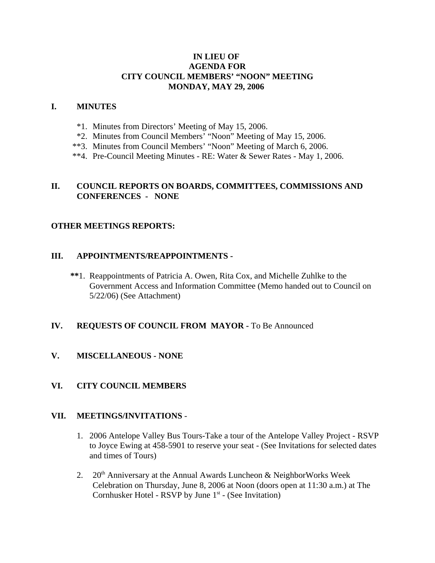## **IN LIEU OF AGENDA FOR CITY COUNCIL MEMBERS' "NOON" MEETING MONDAY, MAY 29, 2006**

### **I. MINUTES**

- \*1. Minutes from Directors' Meeting of May 15, 2006.
- \*2. Minutes from Council Members' "Noon" Meeting of May 15, 2006.
- \*\*3. Minutes from Council Members' "Noon" Meeting of March 6, 2006.
- \*\*4. Pre-Council Meeting Minutes RE: Water & Sewer Rates May 1, 2006.

### **II. COUNCIL REPORTS ON BOARDS, COMMITTEES, COMMISSIONS AND CONFERENCES - NONE**

### **OTHER MEETINGS REPORTS:**

### **III. APPOINTMENTS/REAPPOINTMENTS -**

 **\*\***1. Reappointments of Patricia A. Owen, Rita Cox, and Michelle Zuhlke to the Government Access and Information Committee (Memo handed out to Council on 5/22/06) (See Attachment)

### **IV. REQUESTS OF COUNCIL FROM MAYOR -** To Be Announced

**V. MISCELLANEOUS - NONE**

## **VI. CITY COUNCIL MEMBERS**

### **VII. MEETINGS/INVITATIONS** -

- 1. 2006 Antelope Valley Bus Tours-Take a tour of the Antelope Valley Project RSVP to Joyce Ewing at 458-5901 to reserve your seat - (See Invitations for selected dates and times of Tours)
- 2. 20<sup>th</sup> Anniversary at the Annual Awards Luncheon & NeighborWorks Week Celebration on Thursday, June 8, 2006 at Noon (doors open at 11:30 a.m.) at The Cornhusker Hotel - RSVP by June  $1<sup>st</sup>$  - (See Invitation)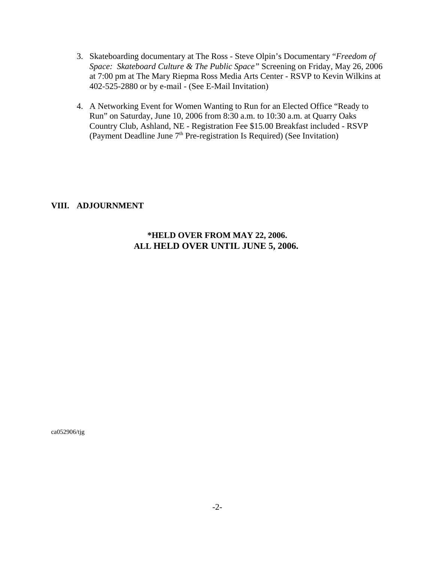- 3. Skateboarding documentary at The Ross Steve Olpin's Documentary "*Freedom of Space: Skateboard Culture & The Public Space"* Screening on Friday, May 26, 2006 at 7:00 pm at The Mary Riepma Ross Media Arts Center - RSVP to Kevin Wilkins at 402-525-2880 or by e-mail - (See E-Mail Invitation)
- 4. A Networking Event for Women Wanting to Run for an Elected Office "Ready to Run" on Saturday, June 10, 2006 from 8:30 a.m. to 10:30 a.m. at Quarry Oaks Country Club, Ashland, NE - Registration Fee \$15.00 Breakfast included - RSVP (Payment Deadline June  $7<sup>th</sup>$  Pre-registration Is Required) (See Invitation)

### **VIII. ADJOURNMENT**

# **\*HELD OVER FROM MAY 22, 2006. ALL HELD OVER UNTIL JUNE 5, 2006.**

ca052906/tjg